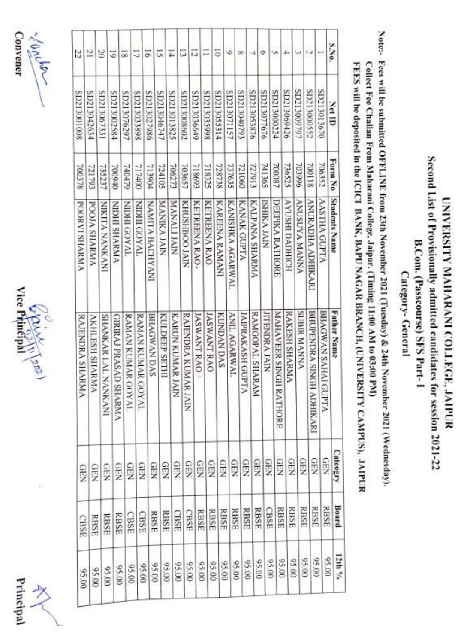



10 river Convener Convener and and the contract of the contract of the contract of the contract of the contract of the contract of the contract of the contract of the contract of the contract of the contract of the contract of the contract of the co

| 22                  | 21                    | g                   | 5                    |                       | 늟                  |                    | 5               | ũ,            | T.                 | 蒜                   |                    |                    | 5                     | ی                   | œ                |                 | o                    | Ġ,                               | į.                   | زرا                   | i.                          |                            |
|---------------------|-----------------------|---------------------|----------------------|-----------------------|--------------------|--------------------|-----------------|---------------|--------------------|---------------------|--------------------|--------------------|-----------------------|---------------------|------------------|-----------------|----------------------|----------------------------------|----------------------|-----------------------|-----------------------------|----------------------------|
| 80010081ZCIS        | SD213042634           | SD213067331         | SD213002584          |                       | SD213076297        | SP213033898        | 986/205120S     | SD213046747   | SD213013825        | SD213008602         | SD213036649        | 8665E0£17CS        | SD213055314           | SD213071157         | SD213040793      | SD213053876     | SD213077676          | SD213000224                      | SD213069426          | £6213009797           | SD213000552                 | SD213013670                |
| 700378              | 721793                | 735237              | 00940                |                       | 740479             | 717400             | <b>PO6EIL</b>   | 724105        | 706273             | 703657              | 718693             | 718325             | 728738                | 737635              | <b>DB0174</b>    | <b>ET6LZL</b>   | 741365               | 700087                           | 736525               | 966E0L                | 700118                      | 706352                     |
| <b>POORVISHARMA</b> | <b>POOLA SHARMA</b>   | NIKLA NANKANI       | <b>VINBYHS IHCIN</b> |                       | <b>TVAOS IHEIN</b> | <b>TVAOD IHEIN</b> | NAMITA BACHYANI | MANIKA JAIN   | <b>NIAN LIAIAN</b> | KINT OOBHSTHES      | KETREENA RAO-      | KETREENA RAO       | <b>KAREENA RAMANI</b> | KANISHKA AGARWAL    | KANAK GUPTA      | KALPANA SHARMA  | <b>SHIKA JAIN</b>    | DEEPIKA RATHORE                  | HOIHIUNG IHSOAV      | <b>VNNNN VANNSINV</b> | ANURADHA ADHIKARI           | <b>ANSTHA GUPTA</b>        |
| RAJENDRA SHARMA     | <b>AKHLESH SHARMA</b> | SHANKAR LAL NANKANI |                      | GIRIRAJ PRASAD SHARMA | RAMAN KUMAR GOYAL  | RAMAN KUMAR GOYAL  | BHAGWAN DAS     | KULDEEP SETHI | KARUN KUMAR JAIN   | RAJENDRA KUMAR JAIN | <b>JASWANT RAO</b> | <b>JASWANT RAO</b> | <b>KUNDAN DAS</b>     | <b>ANIL AGARWAL</b> | JAIPRAKASH GUPTA | RAMGOPAL SHARAM | <b>JITENDRA JAIN</b> | <b>MAHAVEER SINGH</b><br>RATHORE | <b>RAKESH SHARMA</b> | <b>SUBIR MANNA</b>    | BHUPENDRA SINGH<br>ADHIKARI | <b>BHAGWAN SAHAI GUPTA</b> |
| GEN                 | <b>GEN</b>            |                     | <b>CHEN</b>          | <b>QFN</b>            | ê                  | GEN                | <b>GEN</b>      | 9B            | <b>GEN</b>         | <b>QEN</b>          | <b>GEN</b>         | <b>GEN</b>         | <b>QEN</b>            | <b>GEN</b>          | <b>GEN</b>       | GEN             | GBN                  | GEN                              | GEN                  | GEN                   | GEN                         | SEN                        |
| CBSE                |                       | <b>RBSE</b>         | RBSE                 | RBSE                  | CBSE               | CBSE               | RBSE            | <b>RBSE</b>   | <b>CBSE</b>        | CBSE                | RBSE               | <b>RBSE</b>        | RBSE                  | <b>RBSE</b>         | RBSE             | RBSE            | CBSE                 | RBSE                             | RBSE                 | RBSE                  | <b>RBSE</b>                 | <b>RBSE</b>                |
| 02,00               |                       | 06.00               | 06.00                | 00'56                 | 00'56              | 06.00              | 00'56           | 05.00         | 06:00              | 00'56               | 05.00              | 95.00              | 00'56                 | 00'56               | 05.00            |                 | 00'56<br>00.56       | 06:00                            | 95.00                |                       | 00.56<br>06.00              | 95.00                      |

Second List of Provisionally admitted candidates for session 2021-22 Second List of Provisionally UNIVERSITY MAHARANI COLLEGE, JAIPUR UNIVERSITY MAHARANI COLLEGE, JAIPUR B.Com. (Passcourse) SFS Part-1 B.Com. Category- General Category- (Passcourse) admitted candidates General SFS Part- I for session 2021-22

Note:- Fees will be submitted OFFLINE from 23th November 2021 (Tuesday) & 24th November 2021 (Wednesday). Note:- Fees will be submitted OFFLINE from 23th November 2021 (Tuesday) & 24th November 2021 (Wednesday).

Collect Fee Challan From Maharani College, Jaipur. (Timing 11:00 AM to 03:09 PM) Colleet Fee Challan From Maharani College, Jaipur. (Timing 11:00 AM to 03:00 PM)

FEES will be deposited in the ICICI BANK, BAPU NAGAR BRANCH, (UNIVERSITY CAMPUS), JAIPUR<br>FEES will be deposited in the ICICI BANK, BAPU NAGAR BRANCH, (UNIVERSITY CAMPUS), JAIPUR FEES will be deposited in the 1CICI BANK, BAPU NAGAR BRANCH, (UNIVERSITY CAMPUS), JAIPUR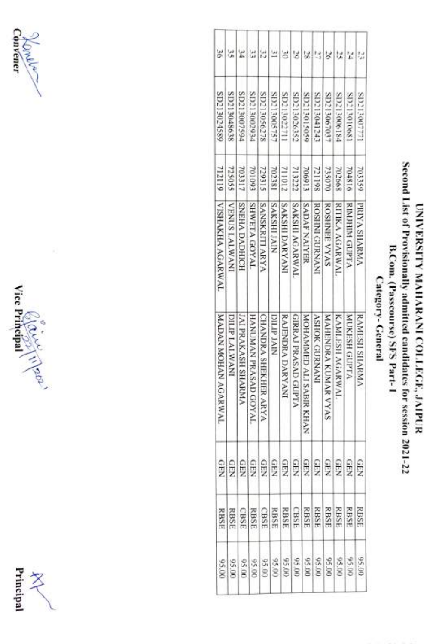





#### Second List of Provisionally admitted candidates for session 2021-22 Second List of Provisionally UNIVERSITY MAHARANI COLLEGE, JAIPUR UNIVERSITY B.Com. (Passcourse) SFS Part-1 B.Com. (Passcourse) MAHARANI COLLEGE, JAIPUR Category-General Category- General adnmitted candidates SFS Part-I for session 2021-22

| š                       |               |                               |                      |                       |                   |                      |                      |                         |                         |                     |                       |                      |                      |
|-------------------------|---------------|-------------------------------|----------------------|-----------------------|-------------------|----------------------|----------------------|-------------------------|-------------------------|---------------------|-----------------------|----------------------|----------------------|
|                         |               |                               |                      |                       |                   |                      |                      |                         |                         |                     |                       |                      |                      |
| SP213024589             | SD213048638   | <b>\$D213007594</b>           | SD213002934          | S7213056278           | SD213005757       | SD213022711          | SD213026352          | <b>9213013059</b>       | EL213041243             | SD213067037         | <b>SD213006184</b>    | S0010612018          | <b>1777008771208</b> |
| 712119                  | 725055        | 703317                        | 701093               | 739315                | 702381            | 710117               | 71322                | 706913                  | 721198                  | 735070              | 702668                | <b>204816</b>        | 703359               |
| <b>VISHAKHA AGARWAL</b> | VENUS LALWANI | <b>SNEIA DADHICH</b>          | <b>INYIOO ATHWHS</b> | <b>SANSKRITI ARYA</b> | <b>SAKSHLIAIN</b> | <b>INVABYOUTSYVS</b> | <b>SAKSHLAGARWAI</b> | <b>SADAF NAIYER</b>     | <b>ROSENANT CONSORT</b> | ROSHNEE VYAS        | <b>RITIKA AGARWAL</b> | <b>RIMINIO GUPTA</b> | <b>PRIYA SHARMA</b>  |
| MADAN MOHAN AGARWAL     | DILP LALWANI  | <b>JAI PRAKASH SHARI</b><br>Š | HANUMAN PRASAD GOYAL | CHANDRA SHEKHER ARYA  | <b>DILIP JAIN</b> | RAJENDRA DARYANI     | GIRRAJ PRASAD GUPTA  | MOHAMMED ALI SABIR KHAN | <b>ASHOK GURNANI</b>    | MAHENDRA KUMAR VYAS | KAMLESH AGARWAL       | MINKESH GUPTA        | <b>RAMESH SHARMA</b> |
| GEN                     |               |                               |                      |                       |                   |                      |                      |                         | 999999999999            |                     |                       |                      | GEN                  |
| <b>RBSE</b>             | RBSE          |                               | RBSE                 |                       |                   |                      |                      |                         |                         |                     |                       | <b>RBSE</b>          |                      |
|                         | 95.00         | 00.50                         | 95.00                | 00'56                 | 00'96             | 95.00                | 00'56                |                         | 095.00<br>95.00         |                     |                       | 95.00                | 00'56                |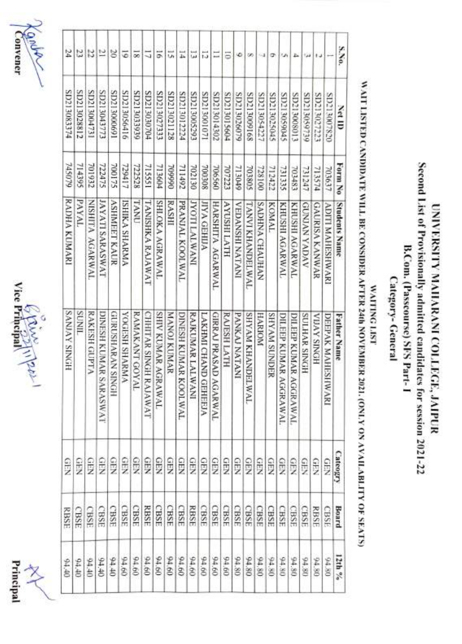





| 24                  | u             | 13              | Ľ                      | 20                  | 5                    | $\overline{\infty}$ | 5                     | 51                    | ij,          | E                    | u                   | 5                    |                                  | 5                | ه               | œ                       |                | ۰            |                       |                       |                     |                       |                         | s.No.                |
|---------------------|---------------|-----------------|------------------------|---------------------|----------------------|---------------------|-----------------------|-----------------------|--------------|----------------------|---------------------|----------------------|----------------------------------|------------------|-----------------|-------------------------|----------------|--------------|-----------------------|-----------------------|---------------------|-----------------------|-------------------------|----------------------|
| <b>A7213083374</b>  | SD213028812   | SD213004731     | <b>ELLEPOE LEGS</b>    | <b>169000817CIS</b> | SD213056416          | <b>SD21303939</b>   | \$0213030704          | SD213027333           | SE112021128  | SD213012224          | E6230081203         | SD213001071          | SD213014302                      | SD213015604      | SD213026079     | 891600£17CS             | SD213054227    | SP0513025045 | SP0650817CIS          | \$10800612023         | SD213059739         | SD213027223           | 02820061203             | et ID                |
| 6405FL              | 714395        | 701932          | 722475                 | 700175              | 729417               | 722528              | 715551                | 713604                | 066604       | 711492               | 702130              | 706308               | 706560                           | 707223           | <b>PAGE17</b>   | 703805                  | 728100         | 712422       | 731335                | 703483                | 731247              | 713574                | 703637                  | Form No              |
| RADHA KUMARI        | PAYAL         | MISHITA AGARWAL | <b>IAVAII SARASWAT</b> | <b>ASHMEET KAUR</b> | <b>ISHIKA SHARMA</b> | <b>TANUT</b>        | TANISHKA RAJAWAT      | <b>SHIOKA AGRAWAL</b> | <b>RASHI</b> | PRANJAL KOOLWAL      | <b>INVATVTILOAT</b> | <b>JIYA GEHIJA</b>   | <b>HARSHITA AGARWAL</b>          | <b>AYUSHLATH</b> | VEDANSHI NATANI | <b>TANVI KHANDELWAL</b> | SADHNA CHAUHAN | KOMAL        | KHUSHI AGARWAL        | KHUSHI AGARWAL        | <b>AVOVA NVINOS</b> | <b>GAURISA KANWAR</b> | <b>ADITI MAHESHWARI</b> | <b>Students Name</b> |
| <b>SANJAY SINGH</b> | <b>TINDS</b>  | RAKESH GUPTA    | DINESH KUMAR SARASWAT  | HONIS NVRWHSOROH    | <b>VMANHS HSHOOA</b> | RAMAKANT GOYAL      | CHHITAR SINGH RAJAWAT | SHIV KUMAR AGRAWAL    | MANOJ KUMAR  | DINESH KUMAR KOOLWAL | RAJKUMAR LALWANI    | LAKHMI CHAND GEHEEJA | GIRRAJ PRASAD AG<br><b>ARWAL</b> | RAJESH LATH      | PANKA NATANI    | <b>SHYAM KHANDELWAL</b> | HARIONI        | SHYAM SUNDER | DILEEP KUMAR AGGRAWAL | DILEEP KUMAR AGGRAWAL | SULHAR SINGH        | HONIS AVIIA           | DEEPAK MAHIESHW<br>NN.  | <b>Father Name</b>   |
| GEN                 | $\frac{1}{2}$ | ê               | 9<br>Kur               | ê                   | GEN                  | SEN                 | 9                     | GEN                   | GEN          | <b>SEN</b>           | GEN                 | ş                    | GEN                              | GEN              | GEN             | <b>GEN</b>              | GEN            | GEN          | <b>GEN</b>            | GEN                   | er.                 | GFN                   | GEN                     | Cateogry             |
| RBSE                | CBSE          | CBSE            | CBSE                   | CBSE                | CBSE                 | CBSE                | RBSE                  | CBSE                  | CBSE         | CBSE                 | <b>RBSE</b>         | CBSE                 | CBSE                             | <b>CBSE</b>      | CBSE            | CBSE                    | CBSE           | CBSE         | <b>CBSE</b>           | CBSE                  | CBSE                | RBSE                  | CBSE                    | Board                |
| 04,40               | 04.40         | 04.40           | 04.40                  | 04.40               | 04.60                | 04.60               | 09'16                 | 04.60                 | 09'16        | 09'16                | 94.60               | 09.60                | 09.40                            | 09.60            | 08.40           | 94.80                   | 94.80          | 08'16        | 08'76                 | 08'16                 | 08 16               | 08'16                 | 08'16                   | 12th %               |
|                     |               |                 |                        |                     |                      |                     |                       |                       |              |                      |                     |                      |                                  |                  |                 |                         |                |              |                       |                       |                     |                       |                         |                      |

### WAIT LISTED CANDIDATE WILL BE CONSIDER AFTER 24th NOVEMBER 2021. (ONLY ON AVAILABLITY OF SEATS) WAIT LISTED CANDIDATE WILL BE CONSIDER AFTER 24th NOVEMBER 2021. (ONI.Y ON AVAILABLITY WAITING LIST WAITING LIST OF SEATS)

UNIVERSITY MAHARANI COLLEGE, JAIPUR

admitted candidates

Second List of Provisionally admitted candidates for session 2021-22 UNIVERSITY MAILARANI COLLEGE, JAIPUR

B.Com. (Passcourse) SFS Part- B.Com. (Passeourse) SFS Part-1

Category-General

Category- General

for session 2021-22

Second List of Provisionally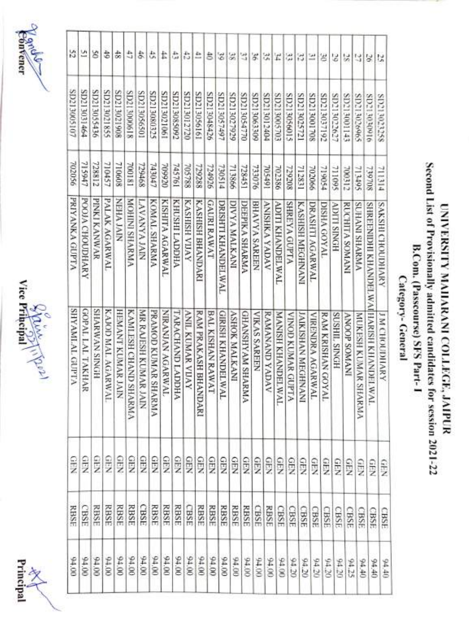





| 52                    | 쓰                | 5               | ŧ                    | 숢                 | ð                    | 尝                    | 北                   | ₽                | 픊                | 유                       | ≞                       | 8                  | 3                       | 38                   | 57                      | s,                   | 器                     | $\vert x \vert$          | 器                 | 討                         | 브               | B                 | 5                    | $\approx$             | 녧                                             | 50                                   | 25                        |
|-----------------------|------------------|-----------------|----------------------|-------------------|----------------------|----------------------|---------------------|------------------|------------------|-------------------------|-------------------------|--------------------|-------------------------|----------------------|-------------------------|----------------------|-----------------------|--------------------------|-------------------|---------------------------|-----------------|-------------------|----------------------|-----------------------|-----------------------------------------------|--------------------------------------|---------------------------|
| SD213005107           | SD213031464      | SD213055436     | SD213021855          | 80612081208       | 819000£17CIS         | SD213056501          | SEE080E12CIS        | SD213021061      | SD213085092      | SD213012720             | SD213056161             | SD213048426        | SD213057497             | SD21302929           | SD213054770             | SD213063309          | SD213012404           | SD713005703              | \$109\$0812GS     | SD213025721               | SO713001708     | SD213037192       | SD213022627          | \$41100E170S          | S0213026965                                   | 3D21303016                           | SP213023258               |
| 950Z02                | 715947           | 728812          | 710457               | 710608            | 700181               | 229468               | 743047              | 709920           | 145761           | 705788                  | 729288                  | 724926             | 730514                  | 713866               | 728451                  | 733076               | 705491                | 702386                   | 729208            | 712831                    | 990Z0Z          | 719054            | 711095               | 700312                | $S$ <sub>0</sub> $\tilde{\tau}$ <sub>14</sub> | 739708                               | <b>FIEILL</b>             |
| PRIYANKA GUPTA        | POOJA CHOUDHARY  | PINKI KANWAR    | PALAK AGARWAL        | NIVI VHHN         | <b>MOHINI SHARMA</b> | NIANY ANY VII        | KOMAL SHARMA        | KISHITA AGARWAL  | KHUSHI LADDHA    | KASHISH VIJAY           | <b>KASHISH BHANDARI</b> | <b>GAURI RAWAT</b> | DRISHTI KHANDELWAL      | DIVYA MALKANI        | DEEPIKA SHARMA          | <b>BHAVYA SAREEN</b> | <b>ANGAY ANNINA</b>   | ADITI KHANDELWAL         | SHREYA GUPTA      | KASHISH MEGHNANI          | DRASHTI AGARWAL | DISHA GOYAL       | <b>ADUIT SINGH</b>   | <b>RUCHITA SOMANI</b> | <b>AMANHS INAHUS</b>                          | SHREEMIDHI KHANDELWAIHARISH KHANDELW | <b>VANHOUOH'S HIS XVS</b> |
| <b>SHYAMLAL GUPTA</b> | GOPAL LAL TAKHAR | HONIS NV/MAVIIS | KAJOD MAL AGARW<br>ř | HEMANT KUMAR JAIN | KAMLESH CHAND SHARMA | MR RAJESH KUMAR JAIN | PRAMOD KUMAR SHARMA | NIRANIAN AGARWAI | TARACHAND LADDHA | <b>ANIL KUMAR VIJAY</b> | RAM PRAKASH BHANDARI    | BAL KISHAN RAWAT   | <b>GIRISH KHANDELWA</b> | <b>ASHOK MALKANI</b> | <b>GHANSIYAM SHARMA</b> | <b>VIKAS SAREEN</b>  | <b>RAMANAMD YADAV</b> | <b>MANISH KHANDELWAL</b> | VINOD KUMAR GUPTA | <b>JAIKISHAN MEGHNANI</b> | VIRENDRA AGARWA | RAM KRISHAN GOYAL | <b>SUSHIL, SINGH</b> | INVWOS dOONV          | MUKESH KUMAR SHARMA                           | ř,                                   | <b>J M CHOURNINEY</b>     |
| <b>GIN</b>            | $rac{1}{2}$      | 9<br>Z          | GEN                  | GEN               | gex                  | GEN                  | <b>GEN</b>          | <b>GEN</b>       | GEN              | <b>GEN</b>              | Ş                       | GEN                | <b>GEN</b>              | GEN                  | GEN                     | GEN                  | QEX                   | <b>GEN</b>               | <b>GEN</b>        | GEN                       | <b>GEN</b>      | <b>GEN</b>        | GEN                  | Ş                     | <b>GEN</b>                                    | GFN                                  | GHN                       |
| RBSE                  | CBSE             | RBSE            | RBSE                 | RBSE              | RBSE                 | <b>CBSE</b>          | <b>RBSE</b>         | <b>RBSE</b>      | RBSE             | CBSE                    | RBSE                    | <b>RBSE</b>        | <b>RBSE</b>             | RBSE                 | RBSE                    | CBSE                 | <b>RBSE</b>           | CBSE                     | CBSE              | <b>CBSE</b>               | CBSE            | CBSE              | CBSE                 | <b>GBSE</b>           | CBSE                                          | CBSE                                 | <b>CBSE</b>               |
| 00'16                 | 00.00            | 00.00           | 00'16                | 00'16             | 00'16                | 00'16                | 00'100              | 00'16            | 00'16            | 00'16                   | 00'16                   | 0016               | 00'16                   | 00'16                | 00.16                   | 00.40                | $00*6$                | 0016                     | 02 10             | 02'00                     | 94.20           | 04.20             | 04.20                | 94.25                 | 04.40                                         | 04.40                                | 04.40                     |
|                       |                  |                 |                      |                   |                      |                      |                     |                  |                  |                         |                         |                    |                         |                      |                         |                      |                       |                          |                   |                           |                 |                   |                      |                       |                                               |                                      |                           |

#### Second List of Provisionally admitted candidates for session 2021-22 Second List of Provisionally UNIVERSITY MAILARANI COLLEGE, JAIPUR UNIVERSITY B.Com. (Passcourse) SFS Part-1 B.Com.(Passcourse) SFS Part-I Category- General MAIIARANI Category- General admitted candidates COLLEGE, JAIPUR for session 2021-22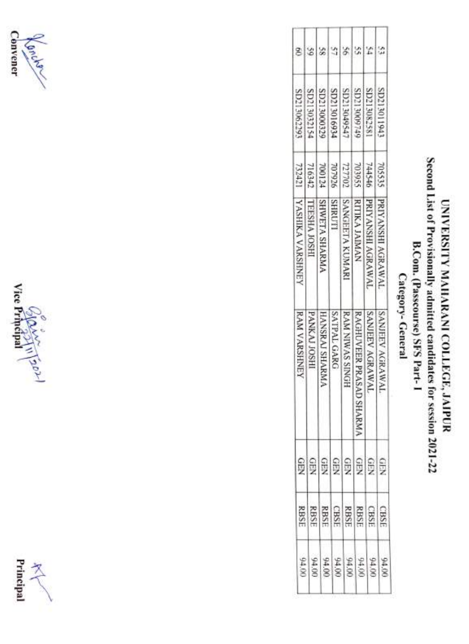





### Second List of Provisionally admitted candidates for session 2021-22 Second List of Provisionally UNIVERSITY MAHARANI COLLEGE, JAIPUR UNIVERSITY MAHARANI COLLEGE, JAIPUUR B.Com. (Passcourse) SFS Part-1 B.Com. (Passcourse) Category-General Category- General admitted candidates SFS Part-I for session 2021-22

|                 |         | RAM VARSHNEY                       | YASHIKA VARSHNEY      |                                           | SD21306229                 |  |
|-----------------|---------|------------------------------------|-----------------------|-------------------------------------------|----------------------------|--|
|                 |         | <b>FANKAJ JOSH</b>                 | TESHA JOSHI           |                                           | SD213000329<br>SD213032154 |  |
|                 |         | <b>IANSRAI SHARM</b>               | <b>SHWETA SHARMA</b>  | 744546<br>7077021<br>7077024242<br>732421 |                            |  |
|                 |         | SAIPAL GARG                        | SHRUTI                |                                           |                            |  |
|                 |         | RAM NIWAS SINGH                    | <b>SANGEETA KUMAR</b> |                                           | 20213049547                |  |
|                 |         | RAGHUVEER PRAS.<br><b>AD SHARM</b> | RITIKA JAIMAN         |                                           | 51213005145                |  |
| <b>GREERERS</b> | 회회회회회회회 | SANJEEV AGRAWAL                    | PRIYANSHI AGRAWAL     |                                           | 85280812QS                 |  |
|                 |         | ANJEEV AGRAWAL                     | PRIYANSHI AGRAWAI     | 705535                                    | SD213011942                |  |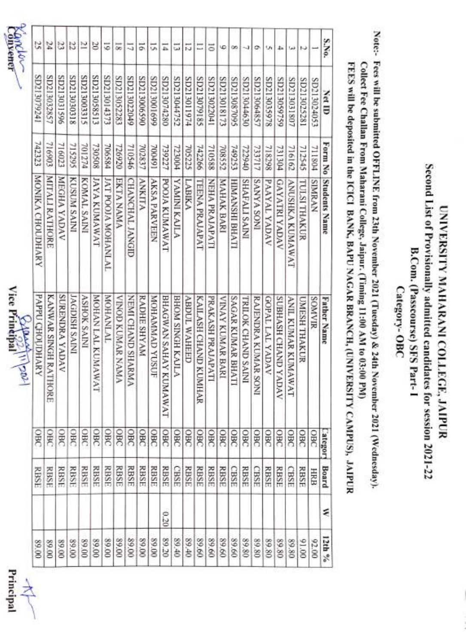





| Z<br>23          |                          |                | 22                   | Σ                  | g                  | 51                        | $\overline{\mathbf{z}}$ | 17                | $\overline{5}$ | 5                   | $\overline{\overline{1}}$        | ದ                       | 12                  | Ξ                        | ā                 | é                 | œ                | -3                        | o                   | U۱                   | 4à                         | خفا                          | w            |             | S.No.                |  |
|------------------|--------------------------|----------------|----------------------|--------------------|--------------------|---------------------------|-------------------------|-------------------|----------------|---------------------|----------------------------------|-------------------------|---------------------|--------------------------|-------------------|-------------------|------------------|---------------------------|---------------------|----------------------|----------------------------|------------------------------|--------------|-------------|----------------------|--|
| SD213079241      | SD213032857              | SD213031596    | SI2030318            | S12213003315       | SD213058513        | SD213014373               | SD213052283             | 600220212049      | SD213006590    | 66910081703         | SD213074280                      | SD213044752             | <b>47213011974</b>  | SB19707918S              | SD213022041       | SD213018173       | SP013087095      | SD213044630               | SD213064857         | ST0213035978         | SD213059759                | SD213031807                  | SD213025281  | SD213024053 | <b>Net ID</b>        |  |
| 742323           | 716903                   | 716023         | 715295               | <b>PLZ10L</b>      | 730508             | 706584                    | 726920                  | 710546            | 702837         | 16100L              | 739227                           | <b>POOEZZ</b>           | 705225              | 742266                   | 710588            | 708552            | 749253           | 722940                    | 733717              | 718298               | 731304                     | 716162                       | 712545       | 711804      | Form No              |  |
| MONIKA CHOUDHARY | MITALI RATHORE           | MEGHA YADAV    | <b>KUSUM SAINI</b>   | KOMAL SAINI        | <b>IAWANDI AYI</b> | <b>IAT POOLA MOHANLAI</b> | <b>EKTANAMA</b>         | CHANCHAL JANGID   | <b>ANKITA</b>  | <b>AKSA PARVEEN</b> | POOIA KUMAWAT                    | <b>YAMINI KALLA</b>     | <b>LABIKA</b>       | <b>TEENA PRAJAPAT</b>    | NEHA PRAJAPATI    | <b>MAHAK BARI</b> | HIMANSHI BHATI   | <b>SHAFALI SAINI</b>      | INOS VANVS          | <b>VAYAL YADAV</b>   | <b>GAYATRI YADAV</b>       | <b>TAWAN KUMAWAT</b>         | TULSI THAKUR | SIMRAN      | <b>Students Name</b> |  |
| PAPPU CHOUDHARY  | KANWAR SINGH RATI<br>okE | SURENDRA YADAV | <b>JAGDISH SAINI</b> | <b>ASHOK SAINI</b> | MOHAN LAL KUMAWAT  | <b>INJNANIOM</b>          | VINNY SYVNON GONIA      | NEMI CHAND SHARMA | RADHE SHYAM    | MOHAMAAD YUSUF      | BHAGWAN SAHAY KU<br><b>IAWAT</b> | <b>BHOM SINGH KAJLA</b> | <b>ABDUL WAHEED</b> | KAILASH CHAND KUN<br>HAR | PRAKASH PRAJAPATI | VINAY KUMAR BARI  | SAGAR KUMAR BHAT | <b>TRILOK CHAND SAINI</b> | RAJENDRA KUMAR SONI | <b>GOPAL LALYMAN</b> | <b>SUBHASH CHAND YADAV</b> | <b>ANIL KUMAR KUMAW</b><br>Š | UMESH THAKUR | SOMVIR      | <b>Father Name</b>   |  |
| OBC              | <b>OHC</b>               | OBC            | <b>SBC</b>           | OBC                | $rac{}{38}$        | OBC                       | 98C                     | 380               | OBC            | OBC                 | OBC                              | OBC                     | OBC                 | OBC                      | $rac{}{360}$      | $rac{}{36}$       | OBC              | OBC                       | <b>OBC</b>          | OBC                  | OBC                        | OBC                          | OBC          | OBC         | ategory              |  |
| <b>RBSE</b>      | RBSE                     | RBSE           | <b>RBSE</b>          | <b>RBSE</b>        | RBSE               | <b>RBSE</b>               | <b>RBSE</b>             | <b>RBSE</b>       | <b>RBSE</b>    | RBSE                | <b>RBSE</b>                      | <b>CBSE</b>             | <b>RBSE</b>         | RBSE                     | RBSE              | RBSE              | CBSE             | <b>RBSE</b>               | CBSE                | <b>RBSE</b>          | <b>RBSE</b>                | CBSE                         | <b>RBSE</b>  | HRB         | Board                |  |
|                  |                          |                |                      |                    |                    |                           |                         |                   |                |                     | 0.20                             |                         |                     |                          |                   |                   |                  |                           |                     |                      |                            |                              |              |             | ε                    |  |
| 00'68            | 00'68                    | 00'68          | 00'68                | 00'68              | 00'68              | 00'68                     | 89.00                   | 89.00             | 00'68          | 00'68               | 89.20                            | 89.40                   | 89.40               | 09'68                    | 89.60             | 89.60             | 89.60            | 89.80                     | 89.80               | 08'68                | 08'68                      | 89.80                        | 00'16        | 00.00       | 12th %               |  |

Second List of Provisionally admitted candidates for session 2021-22 Second List of Provisionally admitted candidates for session 2021-22 UNIVERSITY MAHARANI COLLEGE, JAIPUR UNIVERSITY MAHARANI COLLEGE, JAIPUR B.Com. (Passcourse) SFS Part-1 B.Com. (Passcourse) SFS Part- Category- OBC

Note:- Fees will be submitted OFFLINE from 23th November 2021 (Tuesday) & 24th November 2021 (Wednesday). Note: Fees will be submitted OFFLINE from 23th November 2021 (Tuesday) & 24th November 2021 (Wednesday). Collect Fee Challan From Maharani College, Jaipur. (Timing 11:00 AM to 03:00 PM) Collect Fee Challan From Maharani College, Jaipur. (Timing 11:00 AM to 03:00 PM)

FEES will be deposited in the ICICI BANK, BAPU NAGAR BRANCH, (UNIVERSITY CAMPUS), JAIPUR FEES will be deposited in the ICICI BANK, BAPU NAGAR BRANCH, (UNIVERSITY CAMPUs), JAIPUR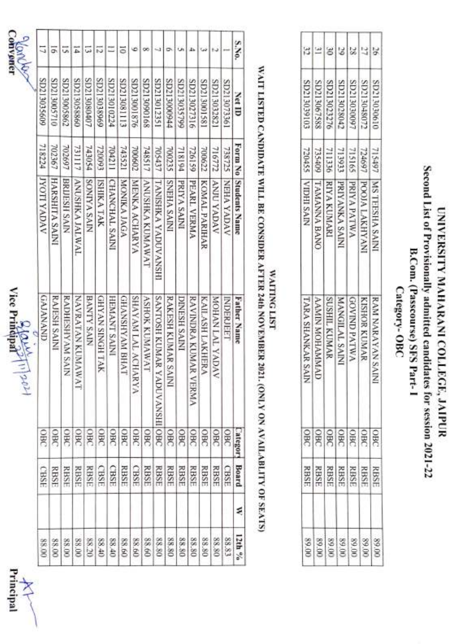





| Saprons         | ₹                 |                       |                 |                       |                   |                        |                | 5                     |                   |                        |                          |                           |                     |                           |                      |                        |                  | S.No.                 |
|-----------------|-------------------|-----------------------|-----------------|-----------------------|-------------------|------------------------|----------------|-----------------------|-------------------|------------------------|--------------------------|---------------------------|---------------------|---------------------------|----------------------|------------------------|------------------|-----------------------|
|                 | SD213035609       | SD213005710           | SD213005862     | SD213058860           | SD213080407       | 6968£0£17dS            | SD213010224    | <b>SD213081113</b>    | 8D213001876       | 891060£17dS            | SD213012351              | \$49213000\$44            | SD213035799         | SD213027316               | 18510081203          | SD213032821            | SD213073361      | Net ID                |
|                 | 718224            | 702367                | 702697          | 731117                | <b>PSOEPL</b>     | 720093                 | 704211         | 743521                | 709002            | 748517                 | 705437                   | 700235                    | 718194              | <b>PS1357</b>             | 700072               | 716772                 | 738725           |                       |
|                 | <b>JYON TADAY</b> | <b>HARSHITA SAINI</b> | BRIJESH SAIN    | <b>ANUSHKA JALWAL</b> | SONTYA SAIN       | <b>ISHIKA TAK</b>      | CHANCHAL SAINI | <b>MONIKA JAGA</b>    | MENKA ACHARYA     | <b>ANUSHRA KUMAWAT</b> | TANISHKA YADUVANSIH      | INIVS VHHNS               | PRIYA SAINI         | PEARL VERMA               | <b>KOMAL PARIHAR</b> | <b>VANUY YADAV</b>     | MEHA YADAV       | Form No Students Name |
| <b>SOLARITY</b> | <b>GNANAND</b>    | <b>RAJESH SAINI</b>   | RADHESHYAM SAIN | <b>NAVANA KUMAWAT</b> | <b>BANTY SAIN</b> | <b>GHYAN SINGH TAK</b> | HEMANT SAINI   | <b>GHANSHYAM BHAT</b> | SHAYAM LAL ACHARY | <b>ASHOK KUMAWAT</b>   | <b>SANTOSH KUMAR YAD</b> | <b>RAKESH KUMAR SAINI</b> | <b>DINESH SAINI</b> | RAVINDRA KUMAR VEJ<br>kMA | KAILASH LAKHERA      | <b>AVOVA TVT NVHON</b> | <b>INDERIETT</b> | <b>Father Name</b>    |
|                 | <b>OBC</b>        | g                     | <b>DBC</b>      | <b>SBC</b>            | gg                | <b>SBC</b>             | OBC            | oBC                   | OBC               | g                      | <b>VANSHIOBC</b>         | g                         | දි                  | $rac{1}{260}$             | 98C                  | SBC                    | $rac{1}{260}$    | Category              |
|                 | CBSE              | RBSE                  | RBSE            | <b>RBSE</b>           | RBSE              | CBSE                   | CBSE           | RBSE                  | CBSE              | <b>RBSE</b>            | <b>RBSE</b>              | RBSE                      | RBSE                | <b>RBSE</b>               | <b>RBSE</b>          | <b>RBSE</b>            | CBSE             | Board                 |
|                 |                   |                       |                 |                       |                   |                        |                |                       |                   |                        |                          |                           |                     |                           |                      |                        |                  | ⋞                     |
|                 | <b>00.88</b>      | 88.00                 | 88.00           | 88.00                 | 88.20             | 04.88                  | 04.88          | 09'88                 | 09.88             | 88.60                  | 88.80                    | 88.80                     | 88.80               | 88.80                     | 88.80                | 88.80                  | 88.83            | 12th %                |

## WAIT LISTED CANDIDATE WILL BE CONSIDER AFTER 24th NOVEMBER 2021. (ONLY ON AVAILABLITY OF SEATS) WAIT LISTED CANDIDATE WILL BE CONSIDER AFTER 24th NOVEMBER 2021. (ONLY ON AVAILABLITY OF SEATS)

# WAITING LIST WAITING LIST

|                     |           | <b>TARA SHANKAR SAIY</b> | VIDHI SAIR           |                            |                            |  |
|---------------------|-----------|--------------------------|----------------------|----------------------------|----------------------------|--|
| 88888888<br>8888888 | 999999999 | <b>TVINWHON NINV\</b>    | <b>TAMANNA BANC</b>  | 711336<br>755409<br>720455 | SD213067588<br>SD213059103 |  |
|                     |           | <b>SUSHIL KUMAR</b>      | <b>RIYA KUMAR</b>    |                            | SD21302327                 |  |
|                     |           | <b>IANGILAL SAIN</b>     | <b>NIVS VXNVAIN</b>  |                            | 8D21302804                 |  |
|                     |           | <b>AVIND PATWA</b>       | <b>AWTARA</b>        | 724697<br>715165<br>713933 | 8D2130909                  |  |
|                     |           | <b>IAMOR KUMAI</b>       | POOJA LAKHYAN        |                            | SD21304807                 |  |
|                     |           | <b>RAM NARAYAN SAIN</b>  | <b>MS VESHA SAIN</b> | 715497                     | SD2130301t                 |  |

T Т

UNIVERSITY

Second List of Provisionally

MAHARANI COLLEGE, JAIPUR

admitted candidates

Second List of Provisionally admitted candidates for session 2021-22 UNIVERSITY MAHARANI COLLEGE, JAIPUR

B.Com. (Passcourse) SFS Part-1 Category-OBC

Category-OBC

B.Com. (Passcourse) SFS Part-1

for session 2021-22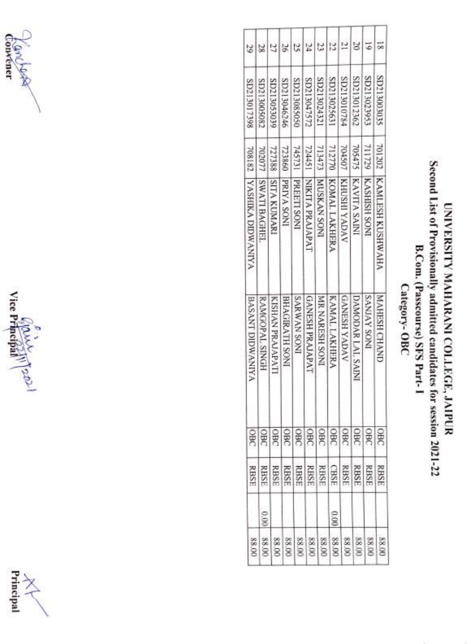





### Second List of Provisionally admitted candidates for session 2021-22 Second List of Provisionally UNIVERSITY MAHARANI COLLEGE, JAIPUR UNIVERSITY MAHARANI COLLEGE, JAIPUR B.Com. (Passcourse) SFS Part-1 B.Com. (Passcourse) SFS Part-I Category-OBC Category admitted candidates for session 2021-22

| OBC<br>$g_{\rm g}$<br><b>SBC</b><br><b>SBC</b><br><b>BC</b><br><b>BC</b><br>BC <sub>3</sub><br><b>BK</b><br>œ | RBSE<br>RBSE<br>RBSE<br>RBSE<br>RBSE<br>RBSE<br><b>RBSE</b><br><b>CBSE</b><br>RBSE<br><b>RBSE</b><br>RBSE<br>0.00<br>$\frac{6}{9}$ | SP213017398<br>708182  YASHIKA DIDWANIYA<br><b>BASANT DIDWANIYA</b> | SD213005082<br>702077<br><b>SWATI BAGHEL</b><br><b>RAMGOPAL SINGH</b> | <b>SD213053039</b><br>727388<br><b>ISITA KUMARI</b><br>KISHAN PRAJAPATI | SD213046246<br>723860<br><b>PRIYA SONI</b><br>BHAGIRATH SONI | DS053085050<br>745731<br>PREETI SONI<br>INOS NV MNYS | SD213047572<br>724451<br>NIKITA PRAJAPAT<br><b>GANESH PRAJAPAT</b> | SD213024321<br>713473<br>INOS NV XSOM<br>MR NARESH SONI | SD213025631<br>712770<br>KOMAL LAKHERA<br>KAMAL LAKHERA | \$8713010784<br>704507<br><b>KHUSHI YADAV</b><br><b>GANESH YADAV</b> | SD213012362<br>705475<br>KAVITA SAINI<br>DAMODAR LAL SAINI | SD213023953<br><b>PETITS</b><br><b>KASHISH SONI</b><br><b>INOS AVINYS</b> | SE0513003033<br><b>201202</b><br><b>KAMLESH KUSHWAHA</b><br>MAHRSH CHAND |
|---------------------------------------------------------------------------------------------------------------|------------------------------------------------------------------------------------------------------------------------------------|---------------------------------------------------------------------|-----------------------------------------------------------------------|-------------------------------------------------------------------------|--------------------------------------------------------------|------------------------------------------------------|--------------------------------------------------------------------|---------------------------------------------------------|---------------------------------------------------------|----------------------------------------------------------------------|------------------------------------------------------------|---------------------------------------------------------------------------|--------------------------------------------------------------------------|
|                                                                                                               |                                                                                                                                    |                                                                     |                                                                       |                                                                         |                                                              |                                                      |                                                                    |                                                         |                                                         |                                                                      |                                                            |                                                                           | <b>B</b><br>RBSE                                                         |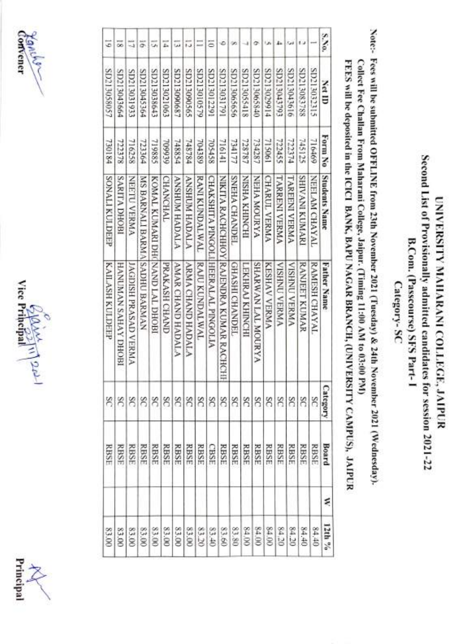





| S.No. | <b>Ctt ID</b>      | Form No       | <b>Students Name</b>            | <b>Father Name</b>                      | Category | Board       | ź |
|-------|--------------------|---------------|---------------------------------|-----------------------------------------|----------|-------------|---|
|       | SIEC2033313        | 716469        | NEELAM CHAYAL                   | RAMESH CHAYAL                           | SC       | <b>RBSE</b> |   |
|       | 881£80£17CS        | SC1912        | <b>SHIVANI KUMARI</b>           | RANJEET KUMAR                           | SC       | <b>RBSE</b> |   |
|       | SD213043616        | FLEZZL        | <b>TAREFNI VERMA</b>            | <b>VISHNU VERMA</b>                     | SC       | <b>RBSE</b> |   |
|       | SD213043793        | 722455        | <b>TARRENI VERMA</b>            | <b>VISHIN AEKNA</b>                     | SC       | <b>RBSE</b> |   |
|       | SD213029914        | 715061        | <b>CHARUL VERMA</b>             | KESHAV VERMA                            | SC       | <b>RBSE</b> |   |
|       | SD213065840        | 734287        | <b>ANDON ANDON</b>              | <b>SHARWAN LAL MOURYA</b>               | SC       | <b>RBSE</b> |   |
|       | 811305118          | 728787        | NISHA KHINCHI                   | LEXHRAI KHINCHI                         | SC       | <b>RBSE</b> |   |
|       | SD213065656        | 734177        | SNEHA CHANDEL                   | <b>GHASHI CHANDEL</b>                   | ñ        | <b>RBSE</b> |   |
|       | SD213031791        | 716141        |                                 | NIKITA RACHCHHOY RAJENDRA KUMAR RACHCHI | SC       | <b>RBSE</b> |   |
| Ξ     | SD213012291        | 705458        |                                 | CHAKSHITA PINGOLIHEERALAL PINGOLIA      | SC       | CBSE        |   |
|       | <b>97213010579</b> | <b>704389</b> | <b>RANI KUNDALWAL</b>           | RAJU KUNDALWAL                          | $\infty$ | RBSE        |   |
| 13    | S0213090565        | 748784        | <b>ANGAH MUHSKA</b>             | <b>ARMA CHAND HADALA</b>                | S        | <b>RBSE</b> |   |
| فغا   | SD213000687        | 748854        | <b>ANSHUM HADALA</b>            | <b>AMAR CHAND HADALA</b>                | S        | <b>RBSE</b> |   |
| z.    | SD213021063        | 709939        | <b>CHANCHAL</b>                 | PRAKASH CHAND                           | S        | RBSE        |   |
| u,    | SD213038643        | 719885        | KOMAL KUMARI DHI NAND LAL DHOBI |                                         |          | <b>RBSE</b> |   |
| ä     | SD213045364        | 723364        | MARNALI BARMAISADHU BARMAN      |                                         |          | RBSE        |   |
|       | SD2130333          | 716258        | NEETU VERMA                     | JAGDISH PRASAD VERMA                    | ଖଖଖ      | <b>RBSE</b> |   |
| 56    | SD213043664        | 722378        | <b>SARITA DHOBI</b>             | IROHO AVHVS NVININVH                    |          | <b>RBSE</b> |   |
| 5     | SD213058057        | 73/1/84       | <b>SONALI KULDEEP</b>           | KAILASH KULDEEP                         | S        | <b>RBSE</b> |   |

UNIVERSITY MAHARANI COLLEGE, JAiPUR Second List of Provisionally admitted candidates for session 2021-22 B.Com. (Passcourse) SFS Part-I Category-Sc

Second List of Provisionally admitted candidates for session 2021-22 UNIVERSITY MAHARANI COLLEGE, JAIPUR

B.Com. (Passcourse) SFS Part-1

Category-SC

Note:- Fees will be submitted OFFLINE from 23th November 2021 (Tuesday) & 24th November 2021 (Wednesday).

Note:- Fees will be submitted OFFLINE from 23th November 2021 (Tuesday) & 24th November 2021 (Wednesday).

Collect Fee Challan From Maharani College, Jaipur. (Timing 11:00 AM to 03:00 PMM)

Collect Fee Challan From Maharani College, Jaipur. (Timing 11:00 AM to 03:00 PM)

FEES will be deposited in the ICICI BANK, BAPU NAGAR BRANCH, (UNIVERSITY CAMPUS), JAIPUR

FEES will be deposited in the ICICI BANK, BAPU NAGAR BRANCH, (UNIVERSITY CAMPUS), JAIPUR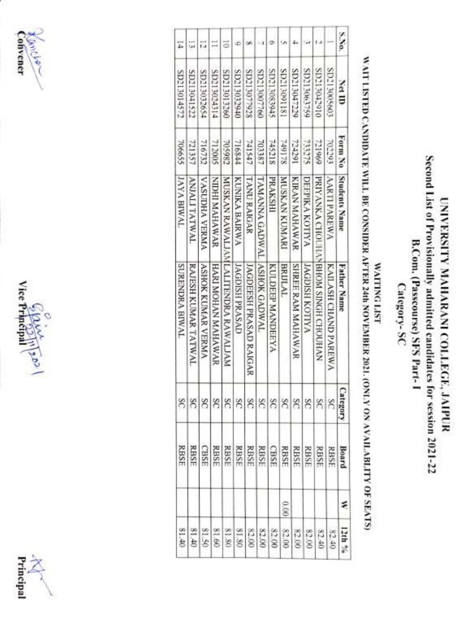





|                       |                     |                          |                     |                                    |                       |                               |                      |                  |                            |                          |                       |                                    |                      | S.No.                |
|-----------------------|---------------------|--------------------------|---------------------|------------------------------------|-----------------------|-------------------------------|----------------------|------------------|----------------------------|--------------------------|-----------------------|------------------------------------|----------------------|----------------------|
| SD213014572           | SD213041522         | \$2213032654             | <b>41213024314</b>  | SD213013260                        | 01213033940           | S213077928                    | SD213007760          | S10213083945     | <b>IST19081202</b>         | SD213047229              | SD213063759           | 01621908170IS                      | \$09500051202        | <b>Cet ID</b>        |
| 706655                | 721357              | 716732                   | 712005              | 705982                             | 716844                | 741547                        | 703387               | 745218           | <b>SZI6#Z</b>              | 724291                   | 733275                | 211969                             | 702293               | Form No              |
| <b>JAYA BIWAL</b>     | <b>ANDALITATWAL</b> | VASUDHA VERMA            | <b>SAWARAN HOUN</b> |                                    | <b>KUNIKA BAIRWA</b>  | <b>TANURAIGAR</b>             | TAWANNA GADWAL       | <b>PRAKSHI</b>   | <b>NUSTAN XUNARI</b>       | KIRAN MAHAWAR            | <b>DEEPIKA KOTIYA</b> |                                    | <b>AARTI PAREWA</b>  | Students Name        |
| <b>SURENDRA BIWAL</b> | RAJESH KUMAR TATWAL | <b>ASHOK KUMAR VERMA</b> | HARI MOHAN MAHAWAR  | MUSKAN RAWALIAMLALITENDRA RAWALIAM | <b>JAGDISH PRASAD</b> | <b>JAGDEESH PRASAD RAIGAR</b> | <b>IASHOK GADWAL</b> | KULDEEP MANDEEYA | <b>BRULAL</b>              | <b>SHREE RAM MAHAWAR</b> | JAGDISH KOTIYA        | PRIYANKA CHOUHANBHOM SINGH CHOUHAN | KAILASH CHAND PAREWA | <b>Father Name</b>   |
|                       |                     |                          |                     |                                    |                       |                               |                      |                  |                            |                          |                       |                                    | 88888888888888       | ategor               |
| <b>RBSE</b>           | <b>RBSF</b>         | CBSE                     | RBSE                |                                    |                       |                               |                      |                  |                            |                          |                       |                                    |                      | <b>Board</b><br>RBSE |
|                       |                     |                          |                     |                                    |                       |                               |                      |                  | 0.00                       |                          |                       |                                    |                      | ₹                    |
| 01.18                 | 01.40               | 81.50                    | 81.60               |                                    | 81.80                 |                               |                      |                  | $\frac{85888888}{8888888}$ |                          |                       | 82.40                              | 82.40                | 12th %               |

B.Com. (Passcourse) SFS Part-1 B.Com. (Passcourse) SFS Part-I Category-SC Category-

UNIVERSITY MAHARANI COLLEGE, JAIPUR Second List of Provisionally admitted candidates for session 2021-22

Second List of Provisionally admitted candidates for session 2021-22 UNIVERSITY MAHARANI COLLEGE, JAIPUR

### **WAITING LIST** WAITING LIST

# WAIT LISTED CANDIDATE WILL BE CONSIDER AFTER 24th NOVEMBER 2021. (ONLY ON AVAILABLITY OF SEATS) WAIT LISTED CANDIDATE WILL BE CONSIDER AFTER 24th NOVEMBER 2021. (ONLY ON AVAILABILITY OF SEATS)